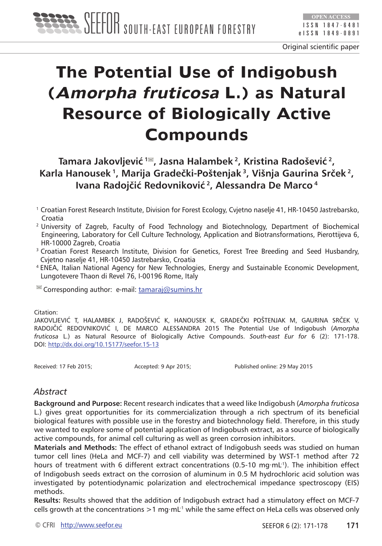

# **The Potential Use of Indigobush (Amorpha fruticosa L.) as Natural Resource of Biologically Active Compounds**

**Tamara Jakovljević<sup>1</sup> , Jasna Halambek 2, Kristina Radošević 2, Karla Hanousek 1, Marija Gradečki-Poštenjak 3, Višnja Gaurina Srček 2, Ivana Radojčić Redovniković 2, Alessandra De Marco 4**

- 1 Croatian Forest Research Institute, Division for Forest Ecology, Cvjetno naselje 41, HR-10450 Jastrebarsko, Croatia
- <sup>2</sup> University of Zagreb, Faculty of Food Technology and Biotechnology, Department of Biochemical Engineering, Laboratory for Cell Culture Technology, Application and Biotransformations, Pierottijeva 6, HR-10000 Zagreb, Croatia
- <sup>3</sup> Croatian Forest Research Institute, Division for Genetics, Forest Tree Breeding and Seed Husbandry, Cvjetno naselje 41, HR-10450 Jastrebarsko, Croatia
- 4 ENEA, Italian National Agency for New Technologies, Energy and Sustainable Economic Development, Lungotevere Thaon di Revel 76, I-00196 Rome, Italy

 $\mathbb{Z}$  Corresponding author: e-mail:  $t$ amaraj@sumins.hr

Citation:

JAKOVLJEVIĆ T, HALAMBEK J, RADOŠEVIĆ K, HANOUSEK K, GRADEČKI POŠTENJAK M, GAURINA SRČEK V, RADOJČIĆ REDOVNIKOVIĆ I, DE MARCO ALESSANDRA 2015 The Potential Use of Indigobush (*Amorpha fruticosa* L.) as Natural Resource of Biologically Active Compounds. *South-east Eur for* 6 (2): 171-178. DOI:<http://dx.doi.org/10.15177/seefor.15-13>

Received: 17 Feb 2015; Accepted: 9 Apr 2015; Published online: 29 May 2015

#### *Abstract*

**Background and Purpose:** Recent research indicates that a weed like Indigobush (*Amorpha fruticosa* L.) gives great opportunities for its commercialization through a rich spectrum of its beneficial biological features with possible use in the forestry and biotechnology field. Therefore, in this study we wanted to explore some of potential application of Indigobush extract, as a source of biologically active compounds, for animal cell culturing as well as green corrosion inhibitors.

**Materials and Methods:** The effect of ethanol extract of Indigobush seeds was studied on human tumor cell lines (HeLa and MCF-7) and cell viability was determined by WST-1 method after 72 hours of treatment with 6 different extract concentrations (0.5-10 mg⋅mL<sup>-1</sup>). The inhibition effect of Indigobush seeds extract on the corrosion of aluminum in 0.5 M hydrochloric acid solution was investigated by potentiodynamic polarization and electrochemical impedance spectroscopy (EIS) methods.

**Results:** Results showed that the addition of Indigobush extract had a stimulatory effect on MCF-7 cells growth at the concentrations >1 mg⋅mL<sup>-1</sup> while the same effect on HeLa cells was observed only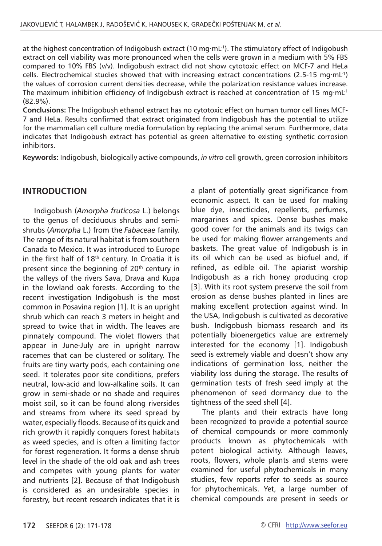at the highest concentration of Indigobush extract (10 mg⋅mL<sup>-1</sup>). The stimulatory effect of Indigobush extract on cell viability was more pronounced when the cells were grown in a medium with 5% FBS compared to 10% FBS (v/v). Indigobush extract did not show cytotoxic effect on MCF-7 and HeLa cells. Electrochemical studies showed that with increasing extract concentrations (2.5-15 mg∙mL-1) the values of corrosion current densities decrease, while the polarization resistance values increase. The maximum inhibition efficiency of Indigobush extract is reached at concentration of 15 mg⋅mL<sup>1</sup> (82.9%).

**Conclusions:** The Indigobush ethanol extract has no cytotoxic effect on human tumor cell lines MCF-7 and HeLa. Results confirmed that extract originated from Indigobush has the potential to utilize for the mammalian cell culture media formulation by replacing the animal serum. Furthermore, data indicates that Indigobush extract has potential as green alternative to existing synthetic corrosion inhibitors.

**Keywords:** Indigobush, biologically active compounds, *in vitro* cell growth, green corrosion inhibitors

## **INTRODUCTION**

Indigobush (*Amorpha fruticosa* L.) belongs to the genus of deciduous shrubs and semishrubs (*Amorpha* L.) from the *Fabaceae* family. The range of its natural habitat is from southern Canada to Mexico. It was introduced to Europe in the first half of  $18<sup>th</sup>$  century. In Croatia it is present since the beginning of 20<sup>th</sup> century in the valleys of the rivers Sava, Drava and Kupa in the lowland oak forests. According to the recent investigation Indigobush is the most common in Posavina region [1]. It is an upright shrub which can reach 3 meters in height and spread to twice that in width. The leaves are pinnately compound. The violet flowers that appear in June-July are in upright narrow racemes that can be clustered or solitary. The fruits are tiny warty pods, each containing one seed. It tolerates poor site conditions, prefers neutral, low-acid and low-alkaline soils. It can grow in semi-shade or no shade and requires moist soil, so it can be found along riversides and streams from where its seed spread by water, especially floods. Because of its quick and rich growth it rapidly conquers forest habitats as weed species, and is often a limiting factor for forest regeneration. It forms a dense shrub level in the shade of the old oak and ash trees and competes with young plants for water and nutrients [2]. Because of that Indigobush is considered as an undesirable species in forestry, but recent research indicates that it is

a plant of potentially great significance from economic aspect. It can be used for making blue dye, insecticides, repellents, perfumes, margarines and spices. Dense bushes make good cover for the animals and its twigs can be used for making flower arrangements and baskets. The great value of Indigobush is in its oil which can be used as biofuel and, if refined, as edible oil. The apiarist worship Indigobush as a rich honey producing crop [3]. With its root system preserve the soil from erosion as dense bushes planted in lines are making excellent protection against wind. In the USA, Indigobush is cultivated as decorative bush. Indigobush biomass research and its potentially bioenergetics value are extremely interested for the economy [1]. Indigobush seed is extremely viable and doesn't show any indications of germination loss, neither the viability loss during the storage. The results of germination tests of fresh seed imply at the phenomenon of seed dormancy due to the tightness of the seed shell [4].

The plants and their extracts have long been recognized to provide a potential source of chemical compounds or more commonly products known as phytochemicals with potent biological activity. Although leaves, roots, flowers, whole plants and stems were examined for useful phytochemicals in many studies, few reports refer to seeds as source for phytochemicals. Yet, a large number of chemical compounds are present in seeds or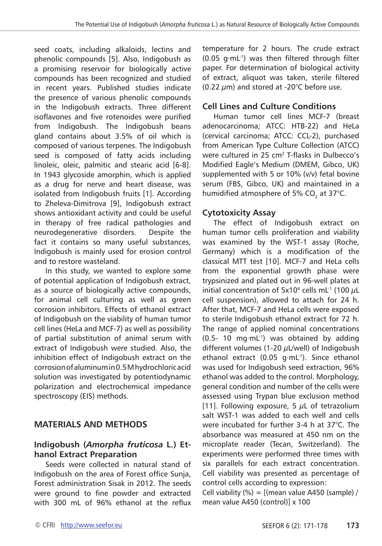seed coats, including alkaloids, lectins and phenolic compounds [5]. Also, Indigobush as a promising reservoir for biologically active compounds has been recognized and studied in recent years. Published studies indicate the presence of various phenolic compounds in the Indigobush extracts. Three different isoflavones and five rotenoides were purified from Indigobush. The Indigobush beans gland contains about 3.5% of oil which is composed of various terpenes. The Indigobush seed is composed of fatty acids including linoleic, oleic, palmitic and stearic acid [6-8]. In 1943 glycoside amorphin, which is applied as a drug for nerve and heart disease, was isolated from Indigobush fruits [1]. According to Zheleva-Dimitrova [9], Indigobush extract shows antioxidant activity and could be useful in therapy of free radical pathologies and neurodegenerative disorders. Despite the fact it contains so many useful substances, Indigobush is mainly used for erosion control and to restore wasteland.

In this study, we wanted to explore some of potential application of Indigobush extract, as a source of biologically active compounds, for animal cell culturing as well as green corrosion inhibitors. Effects of ethanol extract of Indigobush on the viability of human tumor cell lines (HeLa and MCF-7) as well as possibility of partial substitution of animal serum with extract of Indigobush were studied. Also, the inhibition effect of Indigobush extract on the corrosion of aluminum in 0.5 M hydrochloric acid solution was investigated by potentiodynamic polarization and electrochemical impedance spectroscopy (EIS) methods.

#### **MATERIALS AND METHODS**

## **Indigobush (***Amorpha fruticosa* **L.) Ethanol Extract Preparation**

Seeds were collected in natural stand of Indigobush on the area of Forest office Sunja, Forest administration Sisak in 2012. The seeds were ground to fine powder and extracted with 300 mL of 96% ethanol at the reflux temperature for 2 hours. The crude extract (0.05 g*∙*mL-1) was then filtered through filter paper. For determination of biological activity of extract, aliquot was taken, sterile filtered  $(0.22 \text{ }\mu\text{m})$  and stored at -20 $^{\circ}$ C before use.

#### **Cell Lines and Culture Conditions**

Human tumor cell lines MCF-7 (breast adenocarcinoma; ATCC: HTB-22) and HeLa (cervical carcinoma; ATCC: CCL-2), purchased from American Type Culture Collection (ATCC) were cultured in 25 cm<sup>2</sup> T-flasks in Dulbecco's Modified Eagle's Medium (DMEM, Gibco, UK) supplemented with 5 or 10% (v/v) fetal bovine serum (FBS, Gibco, UK) and maintained in a humidified atmosphere of 5% CO<sub>2</sub> at 37°C.

#### **Cytotoxicity Assay**

The effect of Indigobush extract on human tumor cells proliferation and viability was examined by the WST-1 assay (Roche, Germany) which is a modification of the classical MTT test [10]. MCF-7 and HeLa cells from the exponential growth phase were trypsinized and plated out in 96-well plates at initial concentration of  $5x10^4$  cells mL<sup>-1</sup> (100  $\mu$ L cell suspension), allowed to attach for 24 h. After that, MCF-7 and HeLa cells were exposed to sterile Indigobush ethanol extract for 72 h. The range of applied nominal concentrations (0.5- 10 mg∙mL-1) was obtained by adding different volumes (1-20 µL/well) of Indigobush ethanol extract (0.05 g⋅mL<sup>-1</sup>). Since ethanol was used for Indigobush seed extraction, 96% ethanol was added to the control. Morphology, general condition and number of the cells were assessed using Trypan blue exclusion method [11]. Following exposure, 5  $\mu$ L of tetrazolium salt WST-1 was added to each well and cells were incubated for further 3-4 h at 37°C. The absorbance was measured at 450 nm on the microplate reader (Tecan, Switzerland). The experiments were performed three times with six parallels for each extract concentration. Cell viability was presented as percentage of control cells according to expression:

Cell viability  $(%) = [(mean value A450 (sample) /$ mean value A450 (control)] x 100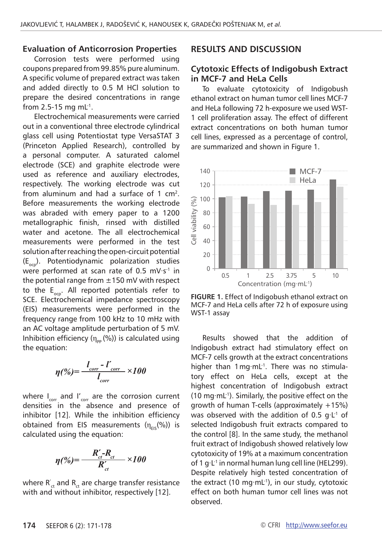#### **Evaluation of Anticorrosion Properties**

Corrosion tests were performed using coupons prepared from 99.85% pure aluminum. A specific volume of prepared extract was taken and added directly to 0.5 M HCl solution to prepare the desired concentrations in range from  $2.5-15$  mg mL<sup>-1</sup>.

Electrochemical measurements were carried out in a conventional three electrode cylindrical glass cell using Potentiostat type VersaSTAT 3 (Princeton Applied Research), controlled by a personal computer. A saturated calomel electrode (SCE) and graphite electrode were used as reference and auxiliary electrodes, respectively. The working electrode was cut from aluminum and had a surface of 1  $cm<sup>2</sup>$ . Before measurements the working electrode was abraded with emery paper to a 1200 metallographic finish, rinsed with distilled water and acetone. The all electrochemical measurements were performed in the test solution after reaching the open-circuit potential  $(E_{\rm con})$ . Potentiodynamic polarization studies were performed at scan rate of 0.5 mV⋅s<sup>-1</sup> in the potential range from  $\pm$ 150 mV with respect to the  $E_{\text{occ}}$ . All reported potentials refer to SCE. Electrochemical impedance spectroscopy (EIS) measurements were performed in the frequency range from 100 kHz to 10 mHz with an AC voltage amplitude perturbation of 5 mV. Inhibition efficiency ( $\eta_{\text{pe}}$  (%)) is calculated using the equation:

$$
\eta(\%) = \frac{l_{corr} - l'_{corr}}{l_{corr}} \times 100
$$

where  $I_{corr}$  and  $I'_{corr}$  are the corrosion current densities in the absence and presence of inhibitor [12]. While the inhibition efficiency obtained from EIS measurements  $(\eta_{\text{esc}}(\%))$  is calculated using the equation:

$$
\eta(\%) = \frac{R'_{ct} - R_{ct}}{R'_{ct}} \times 100
$$

where  $\mathtt{R}'_\mathsf{ct}$  and  $\mathtt{R}_\mathsf{ct}$  are charge transfer resistance with and without inhibitor, respectively [12].

## **RESULTS AND DISCUSSION**

#### **Cytotoxic Effects of Indigobush Extract in MCF-7 and HeLa Cells**

To evaluate cytotoxicity of Indigobush ethanol extract on human tumor cell lines MCF-7 and HeLa following 72 h-exposure we used WST-1 cell proliferation assay. The effect of different extract concentrations on both human tumor cell lines, expressed as a percentage of control, are summarized and shown in Figure 1.



**FIGURE 1.** Effect of Indigobush ethanol extract on MCF-7 and HeLa cells after 72 h of exposure using WST-1 assay

Results showed that the addition of Indigobush extract had stimulatory effect on MCF-7 cells growth at the extract concentrations higher than 1 mg⋅mL<sup>-1</sup>. There was no stimulatory effect on HeLa cells, except at the highest concentration of Indigobush extract (10 mg∙mL-1). Similarly, the positive effect on the growth of human T-cells (approximately +15%) was observed with the addition of 0.5 g⋅L<sup>-1</sup> of selected Indigobush fruit extracts compared to the control [8]. In the same study, the methanol fruit extract of Indigobush showed relatively low cytotoxicity of 19% at a maximum concentration of 1 g⋅L<sup>-1</sup> in normal human lung cell line (HEL299). Despite relatively high tested concentration of the extract (10 mg⋅mL<sup>-1</sup>), in our study, cytotoxic effect on both human tumor cell lines was not observed.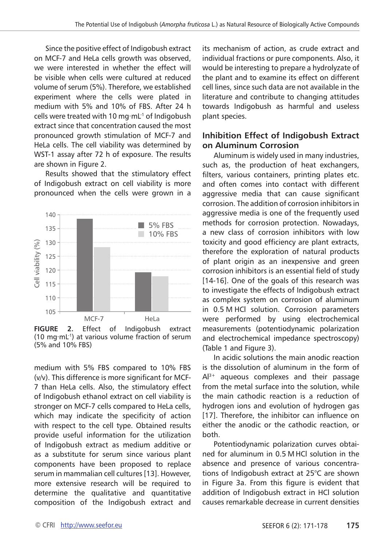Since the positive effect of Indigobush extract on MCF-7 and HeLa cells growth was observed, we were interested in whether the effect will be visible when cells were cultured at reduced volume of serum (5%). Therefore, we established experiment where the cells were plated in medium with 5% and 10% of FBS. After 24 h cells were treated with 10 mg∙mL<sup>-1</sup> of Indigobush extract since that concentration caused the most pronounced growth stimulation of MCF-7 and HeLa cells. The cell viability was determined by WST-1 assay after 72 h of exposure. The results are shown in Figure 2.

Results showed that the stimulatory effect of Indigobush extract on cell viability is more pronounced when the cells were grown in a



**FIGURE 2.** Effect of Indigobush extract (10 mg∙mL-1) at various volume fraction of serum (5% and 10% FBS)

medium with 5% FBS compared to 10% FBS (v/v). This difference is more significant for MCF-7 than HeLa cells. Also, the stimulatory effect of Indigobush ethanol extract on cell viability is stronger on MCF-7 cells compared to HeLa cells, which may indicate the specificity of action with respect to the cell type. Obtained results provide useful information for the utilization of Indigobush extract as medium additive or as a substitute for serum since various plant components have been proposed to replace serum in mammalian cell cultures [13]. However, more extensive research will be required to determine the qualitative and quantitative composition of the Indigobush extract and

its mechanism of action, as crude extract and individual fractions or pure components. Also, it would be interesting to prepare a hydrolyzate of the plant and to examine its effect on different cell lines, since such data are not available in the literature and contribute to changing attitudes towards Indigobush as harmful and useless plant species.

## **Inhibition Effect of Indigobush Extract on Aluminum Corrosion**

Aluminum is widely used in many industries, such as, the production of heat exchangers, filters, various containers, printing plates etc. and often comes into contact with different aggressive media that can cause significant corrosion. The addition of corrosion inhibitors in aggressive media is one of the frequently used methods for corrosion protection. Nowadays, a new class of corrosion inhibitors with low toxicity and good efficiency are plant extracts, therefore the exploration of natural products of plant origin as an inexpensive and green corrosion inhibitors is an essential field of study [14-16]. One of the goals of this research was to investigate the effects of Indigobush extract as complex system on corrosion of aluminum in 0.5 M HCl solution. Corrosion parameters were performed by using electrochemical measurements (potentiodynamic polarization and electrochemical impedance spectroscopy) (Table 1 and Figure 3).

In acidic solutions the main anodic reaction is the dissolution of aluminum in the form of  $Al<sup>3+</sup>$  aqueous complexes and their passage from the metal surface into the solution, while the main cathodic reaction is a reduction of hydrogen ions and evolution of hydrogen gas [17]. Therefore, the inhibitor can influence on either the anodic or the cathodic reaction, or both.

Potentiodynamic polarization curves obtained for aluminum in 0.5 M HCl solution in the absence and presence of various concentrations of Indigobush extract at 25°C are shown in Figure 3a. From this figure is evident that addition of Indigobush extract in HCl solution causes remarkable decrease in current densities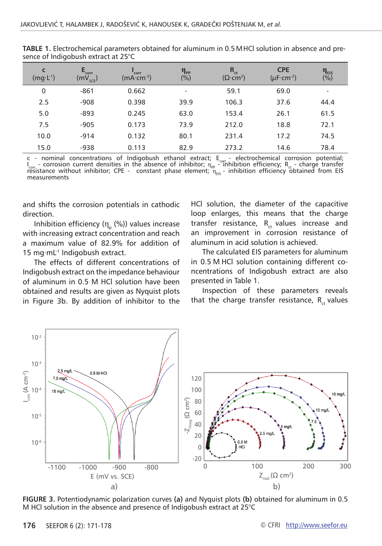| $\mathbf c$<br>$(mg·L-1)$ | $E_{\rm corr}$<br>$(mV_{SCE})$ | corr<br>$(mA·cm-2)$ | $\eta_{\scriptscriptstyle{\text{PP}}}$<br>(%) | $R_{\rm ct}$<br>$(\Omega$ cm <sup>2</sup> ) | <b>CPE</b><br>$(\mu F\cdot cm^{-2})$ | $\eta_{\text{\tiny{EIS}}}$<br>$(\overline{\frac{9}{6}})$ |
|---------------------------|--------------------------------|---------------------|-----------------------------------------------|---------------------------------------------|--------------------------------------|----------------------------------------------------------|
| 0                         | $-861$                         | 0.662               | -                                             | 59.1                                        | 69.0                                 | $\overline{\phantom{a}}$                                 |
| 2.5                       | $-908$                         | 0.398               | 39.9                                          | 106.3                                       | 37.6                                 | 44.4                                                     |
| 5.0                       | $-893$                         | 0.245               | 63.0                                          | 153.4                                       | 26.1                                 | 61.5                                                     |
| 7.5                       | $-905$                         | 0.173               | 73.9                                          | 212.0                                       | 18.8                                 | 72.1                                                     |
| 10.0                      | $-914$                         | 0.132               | 80.1                                          | 231.4                                       | 17.2                                 | 74.5                                                     |
| 15.0                      | $-938$                         | 0.113               | 82.9                                          | 273.2                                       | 14.6                                 | 78.4                                                     |

**TABLE 1.** Electrochemical parameters obtained for aluminum in 0.5 MHCl solution in absence and presence of Indigobush extract at 25°C

c - nominal concentrations of Indigobush ethanol extract; E<sub>cor</sub> - electrochemical corrosion potential;<br>I<sub>corr</sub> - corrosion current densities in the absence of inhibitor; <sub>ηpp</sub> - inhibition efficiency; R<sub>ct</sub> - charge tran resistance without inhibitor; CPE - constant phase element;  $\eta_{\text{eis}}$  - inhibition efficiency obtained from EIS measurements

and shifts the corrosion potentials in cathodic direction.

Inhibition efficiency (η (%)) values increase with increasing extract concentration and reach a maximum value of 82.9% for addition of 15 mg·mL<sup>-1</sup> Indigobush extract.

The effects of different concentrations of Indigobush extract on the impedance behaviour of aluminum in 0.5 M HCl solution have been obtained and results are given as Nyquist plots in Figure 3b. By addition of inhibitor to the HCl solution, the diameter of the capacitive loop enlarges, this means that the charge transfer resistance,  $R_{ct}$  values increase and an improvement in corrosion resistance of aluminum in acid solution is achieved.

The calculated EIS parameters for aluminum in 0.5 M HCl solution containing different concentrations of Indigobush extract are also presented in Table 1.

Inspection of these parameters reveals that the charge transfer resistance,  $R_{\mu}$  values



**FIGURE 3.** Potentiodynamic polarization curves **(a)** and Nyquist plots **(b)** obtained for aluminum in 0.5 M HCl solution in the absence and presence of Indigobush extract at 25°C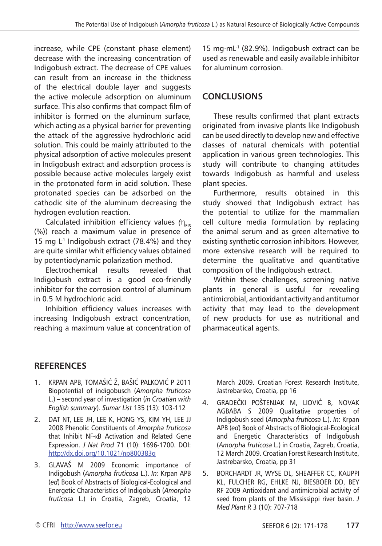increase, while CPE (constant phase element) decrease with the increasing concentration of Indigobush extract. The decrease of CPE values can result from an increase in the thickness of the electrical double layer and suggests the active molecule adsorption on aluminum surface. This also confirms that compact film of inhibitor is formed on the aluminum surface, which acting as a physical barrier for preventing the attack of the aggressive hydrochloric acid solution. This could be mainly attributed to the physical adsorption of active molecules present in Indigobush extract and adsorption process is possible because active molecules largely exist in the protonated form in acid solution. These protonated species can be adsorbed on the cathodic site of the aluminum decreasing the hydrogen evolution reaction.

Calculated inhibition efficiency values (η<sub>EIS</sub> (%)) reach a maximum value in presence of 15 mg  $L^1$  Indigobush extract (78.4%) and they are quite similar whit efficiency values obtained by potentiodynamic polarization method.

Electrochemical results revealed that Indigobush extract is a good eco-friendly inhibitor for the corrosion control of aluminum in 0.5 M hydrochloric acid.

Inhibition efficiency values increases with increasing Indigobush extract concentration, reaching a maximum value at concentration of 15 mg∙mL-1 (82.9%). Indigobush extract can be used as renewable and easily available inhibitor for aluminum corrosion.

## **CONCLUSIONS**

These results confirmed that plant extracts originated from invasive plants like Indigobush can be used directly to develop new and effective classes of natural chemicals with potential application in various green technologies. This study will contribute to changing attitudes towards Indigobush as harmful and useless plant species.

Furthermore, results obtained in this study showed that Indigobush extract has the potential to utilize for the mammalian cell culture media formulation by replacing the animal serum and as green alternative to existing synthetic corrosion inhibitors. However, more extensive research will be required to determine the qualitative and quantitative composition of the Indigobush extract.

Within these challenges, screening native plants in general is useful for revealing antimicrobial, antioxidant activity and antitumor activity that may lead to the development of new products for use as nutritional and pharmaceutical agents.

## **RefereNces**

- 1. KRPAN APB, TOMAŠIĆ Ž, BAŠIĆ PALKOVIĆ P 2011 Biopotential of indigobusch (*Amorpha fruticosa* L.) – second year of investigation (*in Croatian with English summary*). *Sumar List* 135 (13): 103-112
- 2. DAT NT, LEE JH, LEE K, HONG YS, KIM YH, LEE JJ 2008 Phenolic Constituents of *Amorpha fruticosa* that Inhibit NF-KB Activation and Related Gene Expression. *J Nat Prod* 71 (10): 1696-1700. DOI: <http://dx.doi.org/10.1021/np800383q>
- 3. GLAVAŠ M 2009 Economic importance of Indigobush (*Amorpha fruticosa* L.). *In*: Krpan APB (*ed*) Book of Abstracts of Biological-Ecological and Energetic Characteristics of Indigobush (*Amorpha fruticosa* L.) in Croatia, Zagreb, Croatia, 12

March 2009. Croatian Forest Research Institute, Jastrebarsko, Croatia, pp 16

- 4. GRADEČKI POŠTENJAK M, LIOVIĆ B, NOVAK AGBABA S 2009 Qualitative properties of Indigobush seed (*Amorpha fruticosa* L.). *In*: Krpan APB (*ed*) Book of Abstracts of Biological-Ecological and Energetic Characteristics of Indigobush (*Amorpha fruticosa* L.) in Croatia, Zagreb, Croatia, 12 March 2009. Croatian Forest Research Institute, Jastrebarsko, Croatia, pp 31
- 5. BORCHARDT JR, WYSE DL, SHEAFFER CC, KAUPPI KL, FULCHER RG, EHLKE NJ, BIESBOER DD, BEY RF 2009 Antioxidant and antimicrobial activity of seed from plants of the Mississippi river basin. *J Med Plant R* 3 (10): 707-718